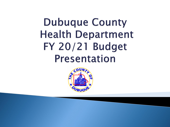**Dubuque County Health Department** FY 20/21 Budget **Presentation** 

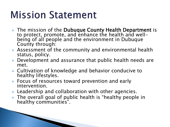## **Mission Statement**

**The Common Street, Inc., and Inc., and Inc., and Inc., and Inc., and Inc., and Inc., and Inc., and Inc., and** 

- The mission of the Dubuque County Health Department is to protect, promote, and enhance the health and wellbeing of all people and the environment in Dubuque County through:
- Assessment of the community and environmental health status, policy.
- Development and assurance that public health needs are met.
- Cultivation of knowledge and behavior conducive to healthy lifestyles.
- ▶ Focus of resources toward prevention and early intervention.
- **Leadership and collaboration with other agencies.**
- ▶ The overall goal of public health is "healthy people in healthy communities".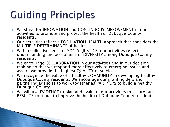# **Guiding Principles**

- We strive for INNOVATION and CONTINUOUS IMPROVEMENT in our activities to promote and protect the health of Dubuque County residents.
- Our activities reflect a POPULATION HEALTH approach that considers the MULTIPLE DETERMINANTS of health.
- With a collective sense of SOCIAL JUSTICE, our activities reflect understanding and acceptance of DIVERSITY among Dubuque County residents.
- We encourage COLLABORATION in our activities and in our decision making so that we respond more effectively to emerging issues and assure we provide the highest QUALITY of services.
- We recognize the value of a healthy COMMUNITY in developing healthy Dubuque County residents. We encourage our grant holders and partnering agencies to work together as PARTNERS to build a healthy Dubuque County.
- We will use EVIDENCE to plan and evaluate our activities to assure our RESULTS continue to improve the health of Dubuque County residents.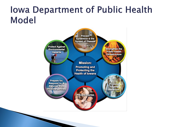### **Iowa Department of Public Health Model**

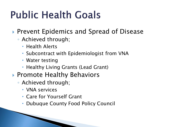# **Public Health Goals**

- ▶ Prevent Epidemics and Spread of Disease
	- Achieved through;
		- Health Alerts
		- Subcontract with Epidemiologist from VNA
		- Water testing
		- Healthy Living Grants (Lead Grant)
- ▶ Promote Healthy Behaviors
	- Achieved through;
		- VNA services
		- Care for Yourself Grant
		- Dubuque County Food Policy Council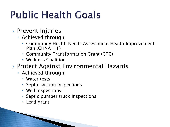# **Public Health Goals**

### **Prevent Injuries**

- Achieved through;
	- Community Health Needs Assessment Health Improvement Plan (CHNA HIP)
	- Community Transformation Grant (CTG)
	- Wellness Coalition
- ▶ Protect Against Environmental Hazards
	- Achieved through;
		- Water tests
		- Septic system inspections
		- Well inspections
		- Septic pumper truck inspections
		- Lead grant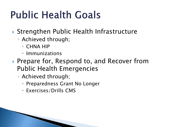# **Public Health Goals**

- ▶ Strengthen Public Health Infrastructure
	- Achieved through;
		- CHNA HIP
		- Immunizations
- ▶ Prepare for, Respond to, and Recover from Public Health Emergencies
	- Achieved through;
		- Preparedness Grant No Longer
		- Exercises/Drills CMS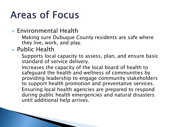# **Areas of Focus**

- Environmental Health
	- Making sure Dubuque County residents are safe where they live, work, and play.
- ▶ Public Health
	- Supports local capacity to assess, plan, and ensure basic standard of service delivery.
	- Increases the capacity of the local board of health to safeguard the health and wellness of communities by providing leadership to engage community stakeholders to support health promotion and preventative services.
	- Ensuring local health agencies are prepared to respond during public health emergencies and natural disasters until additional help arrives.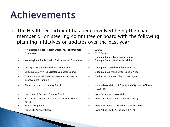# Achievements

- ▶ The Health Department has been involved being the chair, member or on steering committee or board with the following planning initiatives or updates over the past year:
	- Iowa Region 6 Public Health Emergency Preparedness Committee
	- Iowa Region 6 Public Health Environmental Committee Dubuque County Wellness Coalition
	- Dubuque County Preparedness Committee Dubuque Eats Well-Healthy Hometown
	- Dubuque County Area Disaster Volunteer Council Dubuque County Society for Special Needs
	- Community Health Needs Assessment and Health Improvement Planning
	-
	- University of Dubuque Nursing Board Iowa Groundwater Association
	- National Association of School Nurses –Past National Director
	-
	-
- DASAC
- 5210 Grants
- Dubuque County Food Policy Council
- 
- 
- 
- Quality Improvement Champion Program
- Clarke University of Nursing Board National Association of County and City Health Offices (NACCHO)
	-
	- Iowa State Association of Counties (ISAC)
- NICC Nursing Board Iowa Environmental Health Association (IEHA)
- NICC EMS Advisory Board Iowa Public Health Association (IPHA)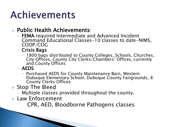# Achievements

### ▶ Public Health Achievements:

- FEMA required Intermediate and Advanced Incident Command Educational Classes-10 classes to date-NIMS, COOP/COG
- Crisis Bags
	- 1800 bags distributed to County Colleges, Schools, Churches, City Offices, County City Clerks/Chambers' Offices, currently and County Offices
- AEDS
	- Purchased AEDS for County Maintenance Barn, Western Dubuque Elementary School, Dubuque County Fairgrounds, 8 County Clerks Offices
- ▶ Stop The Bleed
	- Multiple classes provided throughout the county.
- **Law Enforcement**

CPR, AED, Bloodborne Pathogens classes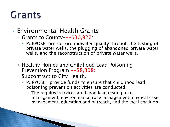### Environmental Health Grants

- Grants to County---\$30,927:
	- PURPOSE: protect groundwater quality through the testing of private water wells, the plugging of abandoned private water wells, and the reconstruction of private water wells.
- Healthy Homes and Childhood Lead Poisoning Prevention Program --\$8,808:
- Subcontract to City Health.
	- PURPOSE: provide funds to ensure that childhood lead poisoning prevention activities are conducted.
		- The required services are blood lead testing, data management, environmental case management, medical case management, education and outreach, and the local coalition.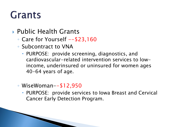- Public Health Grants
	- $\degree$  Care for Yourself  $-\frac{23,160}{\degree}$
	- Subcontract to VNA
		- PURPOSE: provide screening, diagnostics, and cardiovascular-related intervention services to lowincome, underinsured or uninsured for women ages 40-64 years of age.
	- WiseWoman--\$12,950
		- PURPOSE: provide services to Iowa Breast and Cervical Cancer Early Detection Program.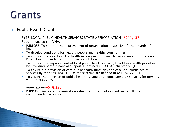#### ▶ Public Health Grants

- FY13 LOCAL PUBLIC HEALTH SERVICES STATE APPROPRIATION –\$211,137
- Subcontract to the VNA.
	- PURPOSE: To support the improvement of organizational capacity of local boards of health.
	- To develop conditions for healthy people and healthy communities.
	- To support the local board of health in progressing towards compliance with the Iowa Public Health Standards within their jurisdiction.
	- To support the improvement of local public health capacity to address health priorities by providing partial financial support as defined in 641 IAC chapter 80 (135).
	- To assure the provision of core public health functions and essential public health services by the CONTRACTOR, as those terms are defined in 641 IAC 77.2 (137).
	- To assure the provision of public health nursing and home care aide services for persons within the county.
- Immunization--\$18,320

**Road** 

 PURPOSE: increase immunization rates in children, adolescent and adults for recommended vaccines.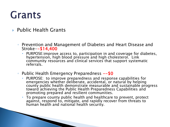#### ▶ Public Health Grants

- Prevention and Management of Diabetes and Heart Disease and Stroke--\$14,400
	- PURPOSE:improve access to, participation in and coverage for diabetes, hypertension, high blood pressure and high cholesterol. Link community resources and clinical services that support systematic referrals.
- Public Health Emergency Preparedness --\$0
	- PURPOSE: to improve preparedness and response capabilities for emergencies whether deliberate, accidental, or natural by helping county public health demonstrate measurable and sustainable progress toward achieving the Public Health Preparedness Capabilities and promoting prepared and resilient communities.
	- To prepare county public health and healthcare to prevent, protect against, respond to, mitigate, and rapidly recover from threats to human health and national health security.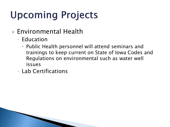# **Upcoming Projects**

- Environmental Health
	- Education
		- Public Health personnel will attend seminars and trainings to keep current on State of Iowa Codes and Regulations on environmental such as water well issues
	- Lab Certifications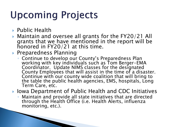# **Upcoming Projects**

- ▶ Public Health
- Maintain and oversee all grants for the FY20/21 All grants that we have mentioned in the report will be honored in FY20/21 at this time.
- ▶ Preparedness Planning

**The Common Street** 

- Continue to develop our County's Preparedness Plan working with key individuals such as Tom Berger-EMA Coordinator. Update NIMS classes for the designated County Employees that will assist in the time of a disaster. Continue with our county wide coalition that will bring to the table the public health agencies, EMS, hospitals, Long Term Care, etc.
- ▶ Iowa Department of Public Health and CDC Initiatives
	- Maintain and provide all state initiatives that are directed through the Health Office (i.e. Health Alerts, influenza monitoring, etc.).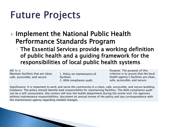# **Future Projects**

▶ Implement the National Public Health Performance Standards Program

◦ The Essential Services provide a working definition of public health and a guiding framework for the responsibilities of local public health systems

 $AD 1c-L$ Maintain facilities that are clean, safe, accessible, and secure.

1. Policy on maintenance of facilities. 2. ADA compliance audit.

Purpose: The purpose of this criterion is to assure that the local health agency's facilities are clean, safe, accessible, and secure.

Significance: It is important to work and serve the community in a clean, safe, accessible, and secure building. Guidance: The policy should identify lead responsibility for maintaining facilities. The ADA compliance audit can be a self-assessment. Site visitors will tour the health department during the onsite visit. For agencies without maintenance responsibilities, document an annual review of the policy and any correspondence with the maintenance agency regarding needed changes.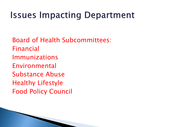### **Issues Impacting Department**

Board of Health Subcommittees: Financial Immunizations Environmental Substance Abuse Healthy Lifestyle Food Policy Council